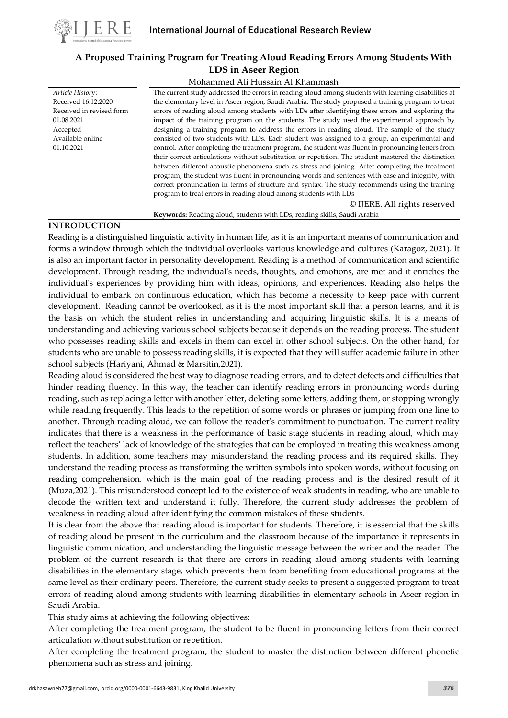

# **A Proposed Training Program for Treating Aloud Reading Errors Among Students With LDS in Aseer Region**

Mohammed Ali Hussain Al Khammash

*Article Histor*y: Received 16.12.2020 Received in revised form 01.08.2021 Accepted Available online 01.10.2021

The current study addressed the errors in reading aloud among students with learning disabilities at the elementary level in Aseer region, Saudi Arabia. The study proposed a training program to treat errors of reading aloud among students with LDs after identifying these errors and exploring the impact of the training program on the students. The study used the experimental approach by designing a training program to address the errors in reading aloud. The sample of the study consisted of two students with LDs. Each student was assigned to a group, an experimental and control. After completing the treatment program, the student was fluent in pronouncing letters from their correct articulations without substitution or repetition. The student mastered the distinction between different acoustic phenomena such as stress and joining. After completing the treatment program, the student was fluent in pronouncing words and sentences with ease and integrity, with correct pronunciation in terms of structure and syntax. The study recommends using the training program to treat errors in reading aloud among students with LDs

© IJERE. All rights reserved

**Keywords:** Reading aloud, students with LDs, reading skills, Saudi Arabia

## **INTRODUCTION**

Reading is a distinguished linguistic activity in human life, as it is an important means of communication and forms a window through which the individual overlooks various knowledge and cultures (Karagoz, 2021). It is also an important factor in personality development. Reading is a method of communication and scientific development. Through reading, the individual's needs, thoughts, and emotions, are met and it enriches the individual's experiences by providing him with ideas, opinions, and experiences. Reading also helps the individual to embark on continuous education, which has become a necessity to keep pace with current development. Reading cannot be overlooked, as it is the most important skill that a person learns, and it is the basis on which the student relies in understanding and acquiring linguistic skills. It is a means of understanding and achieving various school subjects because it depends on the reading process. The student who possesses reading skills and excels in them can excel in other school subjects. On the other hand, for students who are unable to possess reading skills, it is expected that they will suffer academic failure in other school subjects (Hariyani, Ahmad & Marsitin,2021).

Reading aloud is considered the best way to diagnose reading errors, and to detect defects and difficulties that hinder reading fluency. In this way, the teacher can identify reading errors in pronouncing words during reading, such as replacing a letter with another letter, deleting some letters, adding them, or stopping wrongly while reading frequently. This leads to the repetition of some words or phrases or jumping from one line to another. Through reading aloud, we can follow the reader's commitment to punctuation. The current reality indicates that there is a weakness in the performance of basic stage students in reading aloud, which may reflect the teachers' lack of knowledge of the strategies that can be employed in treating this weakness among students. In addition, some teachers may misunderstand the reading process and its required skills. They understand the reading process as transforming the written symbols into spoken words, without focusing on reading comprehension, which is the main goal of the reading process and is the desired result of it (Muza,2021). This misunderstood concept led to the existence of weak students in reading, who are unable to decode the written text and understand it fully. Therefore, the current study addresses the problem of weakness in reading aloud after identifying the common mistakes of these students.

It is clear from the above that reading aloud is important for students. Therefore, it is essential that the skills of reading aloud be present in the curriculum and the classroom because of the importance it represents in linguistic communication, and understanding the linguistic message between the writer and the reader. The problem of the current research is that there are errors in reading aloud among students with learning disabilities in the elementary stage, which prevents them from benefiting from educational programs at the same level as their ordinary peers. Therefore, the current study seeks to present a suggested program to treat errors of reading aloud among students with learning disabilities in elementary schools in Aseer region in Saudi Arabia.

This study aims at achieving the following objectives:

After completing the treatment program, the student to be fluent in pronouncing letters from their correct articulation without substitution or repetition.

After completing the treatment program, the student to master the distinction between different phonetic phenomena such as stress and joining.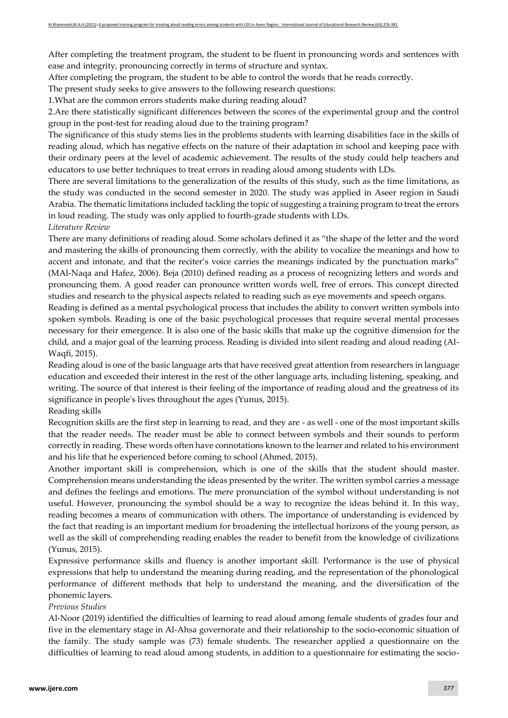After completing the treatment program, the student to be fluent in pronouncing words and sentences with ease and integrity, pronouncing correctly in terms of structure and syntax.

After completing the program, the student to be able to control the words that he reads correctly.

The present study seeks to give answers to the following research questions:

1.What are the common errors students make during reading aloud?

2.Are there statistically significant differences between the scores of the experimental group and the control group in the post-test for reading aloud due to the training program?

The significance of this study stems lies in the problems students with learning disabilities face in the skills of reading aloud, which has negative effects on the nature of their adaptation in school and keeping pace with their ordinary peers at the level of academic achievement. The results of the study could help teachers and educators to use better techniques to treat errors in reading aloud among students with LDs.

There are several limitations to the generalization of the results of this study, such as the time limitations, as the study was conducted in the second semester in 2020. The study was applied in Aseer region in Saudi Arabia. The thematic limitations included tackling the topic of suggesting a training program to treat the errors in loud reading. The study was only applied to fourth-grade students with LDs.

## *Literature Review*

There are many definitions of reading aloud. Some scholars defined it as "the shape of the letter and the word and mastering the skills of pronouncing them correctly, with the ability to vocalize the meanings and how to accent and intonate, and that the reciter's voice carries the meanings indicated by the punctuation marks" (MAl-Naqa and Hafez, 2006). Beja (2010) defined reading as a process of recognizing letters and words and pronouncing them. A good reader can pronounce written words well, free of errors. This concept directed studies and research to the physical aspects related to reading such as eye movements and speech organs.

Reading is defined as a mental psychological process that includes the ability to convert written symbols into spoken symbols. Reading is one of the basic psychological processes that require several mental processes necessary for their emergence. It is also one of the basic skills that make up the cognitive dimension for the child, and a major goal of the learning process. Reading is divided into silent reading and aloud reading (Al-Waqfi, 2015).

Reading aloud is one of the basic language arts that have received great attention from researchers in language education and exceeded their interest in the rest of the other language arts, including listening, speaking, and writing. The source of that interest is their feeling of the importance of reading aloud and the greatness of its significance in people's lives throughout the ages (Yunus, 2015).

## Reading skills

Recognition skills are the first step in learning to read, and they are - as well - one of the most important skills that the reader needs. The reader must be able to connect between symbols and their sounds to perform correctly in reading. These words often have connotations known to the learner and related to his environment and his life that he experienced before coming to school (Ahmed, 2015).

Another important skill is comprehension, which is one of the skills that the student should master. Comprehension means understanding the ideas presented by the writer. The written symbol carries a message and defines the feelings and emotions. The mere pronunciation of the symbol without understanding is not useful. However, pronouncing the symbol should be a way to recognize the ideas behind it. In this way, reading becomes a means of communication with others. The importance of understanding is evidenced by the fact that reading is an important medium for broadening the intellectual horizons of the young person, as well as the skill of comprehending reading enables the reader to benefit from the knowledge of civilizations (Yunus, 2015).

Expressive performance skills and fluency is another important skill. Performance is the use of physical expressions that help to understand the meaning during reading, and the representation of the phonological performance of different methods that help to understand the meaning, and the diversification of the phonemic layers.

## *Previous Studies*

Al-Noor (2019) identified the difficulties of learning to read aloud among female students of grades four and five in the elementary stage in Al-Ahsa governorate and their relationship to the socio-economic situation of the family. The study sample was (73) female students. The researcher applied a questionnaire on the difficulties of learning to read aloud among students, in addition to a questionnaire for estimating the socio-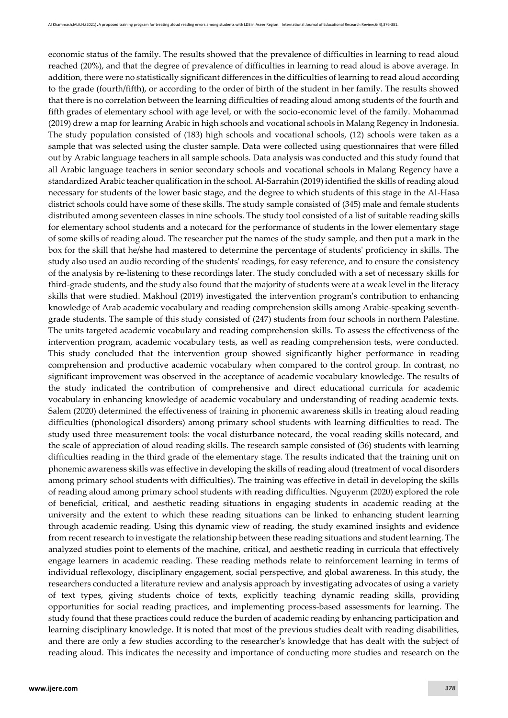economic status of the family. The results showed that the prevalence of difficulties in learning to read aloud reached (20%), and that the degree of prevalence of difficulties in learning to read aloud is above average. In addition, there were no statistically significant differences in the difficulties of learning to read aloud according to the grade (fourth/fifth), or according to the order of birth of the student in her family. The results showed that there is no correlation between the learning difficulties of reading aloud among students of the fourth and fifth grades of elementary school with age level, or with the socio-economic level of the family. Mohammad (2019) drew a map for learning Arabic in high schools and vocational schools in Malang Regency in Indonesia. The study population consisted of (183) high schools and vocational schools, (12) schools were taken as a sample that was selected using the cluster sample. Data were collected using questionnaires that were filled out by Arabic language teachers in all sample schools. Data analysis was conducted and this study found that all Arabic language teachers in senior secondary schools and vocational schools in Malang Regency have a standardized Arabic teacher qualification in the school. Al-Sarrahin (2019) identified the skills of reading aloud necessary for students of the lower basic stage, and the degree to which students of this stage in the Al-Hasa district schools could have some of these skills. The study sample consisted of (345) male and female students distributed among seventeen classes in nine schools. The study tool consisted of a list of suitable reading skills for elementary school students and a notecard for the performance of students in the lower elementary stage of some skills of reading aloud. The researcher put the names of the study sample, and then put a mark in the box for the skill that he/she had mastered to determine the percentage of students' proficiency in skills. The study also used an audio recording of the students' readings, for easy reference, and to ensure the consistency of the analysis by re-listening to these recordings later. The study concluded with a set of necessary skills for third-grade students, and the study also found that the majority of students were at a weak level in the literacy skills that were studied. Makhoul (2019) investigated the intervention program's contribution to enhancing knowledge of Arab academic vocabulary and reading comprehension skills among Arabic-speaking seventhgrade students. The sample of this study consisted of (247) students from four schools in northern Palestine. The units targeted academic vocabulary and reading comprehension skills. To assess the effectiveness of the intervention program, academic vocabulary tests, as well as reading comprehension tests, were conducted. This study concluded that the intervention group showed significantly higher performance in reading comprehension and productive academic vocabulary when compared to the control group. In contrast, no significant improvement was observed in the acceptance of academic vocabulary knowledge. The results of the study indicated the contribution of comprehensive and direct educational curricula for academic vocabulary in enhancing knowledge of academic vocabulary and understanding of reading academic texts. Salem (2020) determined the effectiveness of training in phonemic awareness skills in treating aloud reading difficulties (phonological disorders) among primary school students with learning difficulties to read. The study used three measurement tools: the vocal disturbance notecard, the vocal reading skills notecard, and the scale of appreciation of aloud reading skills. The research sample consisted of (36) students with learning difficulties reading in the third grade of the elementary stage. The results indicated that the training unit on phonemic awareness skills was effective in developing the skills of reading aloud (treatment of vocal disorders among primary school students with difficulties). The training was effective in detail in developing the skills of reading aloud among primary school students with reading difficulties. Nguyenm (2020) explored the role of beneficial, critical, and aesthetic reading situations in engaging students in academic reading at the university and the extent to which these reading situations can be linked to enhancing student learning through academic reading. Using this dynamic view of reading, the study examined insights and evidence from recent research to investigate the relationship between these reading situations and student learning. The analyzed studies point to elements of the machine, critical, and aesthetic reading in curricula that effectively engage learners in academic reading. These reading methods relate to reinforcement learning in terms of individual reflexology, disciplinary engagement, social perspective, and global awareness. In this study, the researchers conducted a literature review and analysis approach by investigating advocates of using a variety of text types, giving students choice of texts, explicitly teaching dynamic reading skills, providing opportunities for social reading practices, and implementing process-based assessments for learning. The study found that these practices could reduce the burden of academic reading by enhancing participation and learning disciplinary knowledge. It is noted that most of the previous studies dealt with reading disabilities, and there are only a few studies according to the researcher's knowledge that has dealt with the subject of reading aloud. This indicates the necessity and importance of conducting more studies and research on the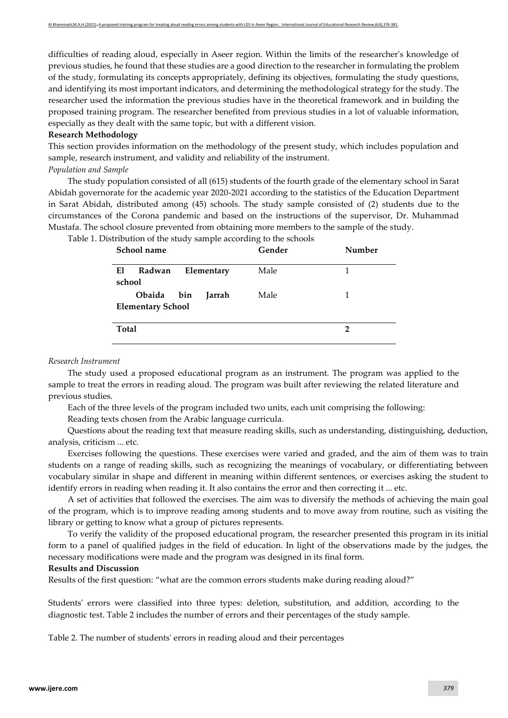difficulties of reading aloud, especially in Aseer region. Within the limits of the researcher's knowledge of previous studies, he found that these studies are a good direction to the researcher in formulating the problem of the study, formulating its concepts appropriately, defining its objectives, formulating the study questions, and identifying its most important indicators, and determining the methodological strategy for the study. The researcher used the information the previous studies have in the theoretical framework and in building the proposed training program. The researcher benefited from previous studies in a lot of valuable information, especially as they dealt with the same topic, but with a different vision.

### **Research Methodology**

This section provides information on the methodology of the present study, which includes population and sample, research instrument, and validity and reliability of the instrument.

#### *Population and Sample*

The study population consisted of all (615) students of the fourth grade of the elementary school in Sarat Abidah governorate for the academic year 2020-2021 according to the statistics of the Education Department in Sarat Abidah, distributed among (45) schools. The study sample consisted of (2) students due to the circumstances of the Corona pandemic and based on the instructions of the supervisor, Dr. Muhammad Mustafa. The school closure prevented from obtaining more members to the sample of the study.

| School name                                      | Gender | Number |
|--------------------------------------------------|--------|--------|
| El<br>Radwan<br>Elementary<br>school             | Male   |        |
| Obaida bin<br>Jarrah<br><b>Elementary School</b> | Male   |        |
| <b>Total</b>                                     |        | 2      |

Table 1. Distribution of the study sample according to the schools

## *Research Instrument*

The study used a proposed educational program as an instrument. The program was applied to the sample to treat the errors in reading aloud. The program was built after reviewing the related literature and previous studies.

Each of the three levels of the program included two units, each unit comprising the following:

Reading texts chosen from the Arabic language curricula.

Questions about the reading text that measure reading skills, such as understanding, distinguishing, deduction, analysis, criticism ... etc.

Exercises following the questions. These exercises were varied and graded, and the aim of them was to train students on a range of reading skills, such as recognizing the meanings of vocabulary, or differentiating between vocabulary similar in shape and different in meaning within different sentences, or exercises asking the student to identify errors in reading when reading it. It also contains the error and then correcting it ... etc.

A set of activities that followed the exercises. The aim was to diversify the methods of achieving the main goal of the program, which is to improve reading among students and to move away from routine, such as visiting the library or getting to know what a group of pictures represents.

To verify the validity of the proposed educational program, the researcher presented this program in its initial form to a panel of qualified judges in the field of education. In light of the observations made by the judges, the necessary modifications were made and the program was designed in its final form.

#### **Results and Discussion**

Results of the first question: "what are the common errors students make during reading aloud?"

Students' errors were classified into three types: deletion, substitution, and addition, according to the diagnostic test. Table 2 includes the number of errors and their percentages of the study sample.

Table 2. The number of students' errors in reading aloud and their percentages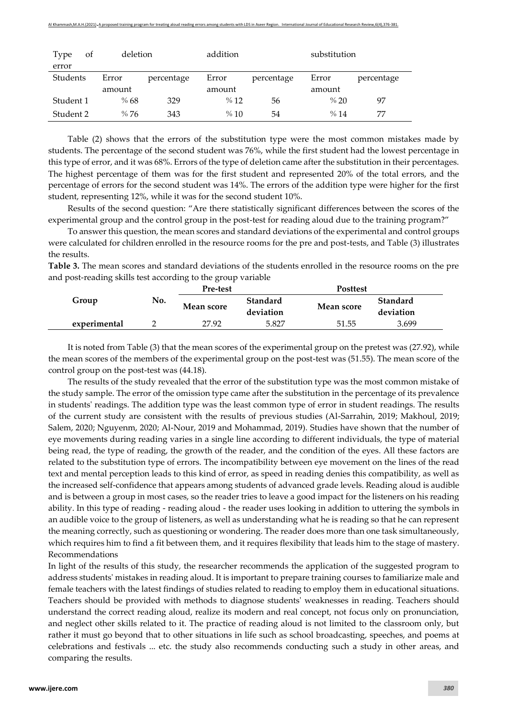| Type<br>error | οf | deletion |            | addition |            | substitution |            |
|---------------|----|----------|------------|----------|------------|--------------|------------|
| Students      |    | Error    | percentage | Error    | percentage | Error        | percentage |
|               |    | amount   |            | amount   |            | amount       |            |
| Student 1     |    | %68      | 329        | %12      | 56         | % 20         | 97         |
| Student 2     |    | %76      | 343        | %10      | 54         | %14          | 77         |

Table (2) shows that the errors of the substitution type were the most common mistakes made by students. The percentage of the second student was 76%, while the first student had the lowest percentage in this type of error, and it was 68%. Errors of the type of deletion came after the substitution in their percentages. The highest percentage of them was for the first student and represented 20% of the total errors, and the percentage of errors for the second student was 14%. The errors of the addition type were higher for the first student, representing 12%, while it was for the second student 10%.

Results of the second question: "Are there statistically significant differences between the scores of the experimental group and the control group in the post-test for reading aloud due to the training program?"

To answer this question, the mean scores and standard deviations of the experimental and control groups were calculated for children enrolled in the resource rooms for the pre and post-tests, and Table (3) illustrates the results.

**Table 3.** The mean scores and standard deviations of the students enrolled in the resource rooms on the pre and post-reading skills test according to the group variable

|              |     | <b>Pre-test</b>   |                       | <b>Posttest</b> |                       |
|--------------|-----|-------------------|-----------------------|-----------------|-----------------------|
| Group        | No. | <b>Mean score</b> | Standard<br>deviation | Mean score      | Standard<br>deviation |
| experimental |     | 27.92             | 5.827                 | 51.55           | 3.699                 |

It is noted from Table (3) that the mean scores of the experimental group on the pretest was (27.92), while the mean scores of the members of the experimental group on the post-test was (51.55). The mean score of the control group on the post-test was (44.18).

The results of the study revealed that the error of the substitution type was the most common mistake of the study sample. The error of the omission type came after the substitution in the percentage of its prevalence in students' readings. The addition type was the least common type of error in student readings. The results of the current study are consistent with the results of previous studies (Al-Sarrahin, 2019; Makhoul, 2019; Salem, 2020; Nguyenm, 2020; Al-Nour, 2019 and Mohammad, 2019). Studies have shown that the number of eye movements during reading varies in a single line according to different individuals, the type of material being read, the type of reading, the growth of the reader, and the condition of the eyes. All these factors are related to the substitution type of errors. The incompatibility between eye movement on the lines of the read text and mental perception leads to this kind of error, as speed in reading denies this compatibility, as well as the increased self-confidence that appears among students of advanced grade levels. Reading aloud is audible and is between a group in most cases, so the reader tries to leave a good impact for the listeners on his reading ability. In this type of reading - reading aloud - the reader uses looking in addition to uttering the symbols in an audible voice to the group of listeners, as well as understanding what he is reading so that he can represent the meaning correctly, such as questioning or wondering. The reader does more than one task simultaneously, which requires him to find a fit between them, and it requires flexibility that leads him to the stage of mastery. Recommendations

In light of the results of this study, the researcher recommends the application of the suggested program to address students' mistakes in reading aloud. It is important to prepare training courses to familiarize male and female teachers with the latest findings of studies related to reading to employ them in educational situations. Teachers should be provided with methods to diagnose students' weaknesses in reading. Teachers should understand the correct reading aloud, realize its modern and real concept, not focus only on pronunciation, and neglect other skills related to it. The practice of reading aloud is not limited to the classroom only, but rather it must go beyond that to other situations in life such as school broadcasting, speeches, and poems at celebrations and festivals ... etc. the study also recommends conducting such a study in other areas, and comparing the results.